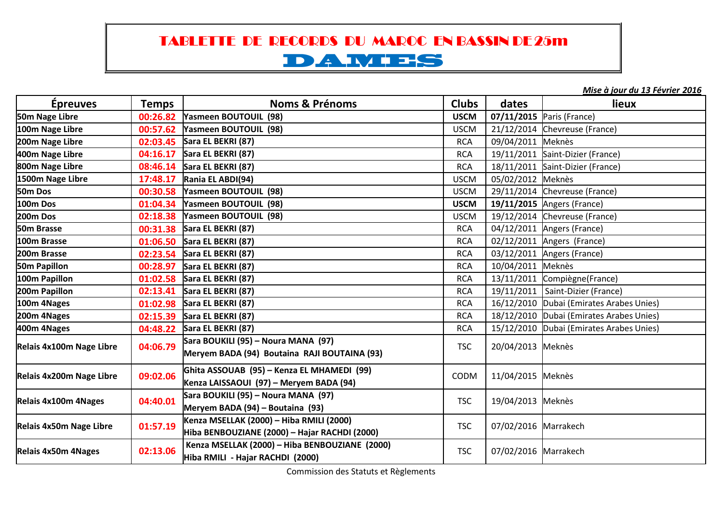## TABLETTE DE RECORDS DU MAROC EN BASSIN DE 25m

## DAMES

*Mise à jour du 13 Février 2016*

| <b>Épreuves</b>          | <b>Temps</b> | <b>Noms &amp; Prénoms</b>                                                                 | <b>Clubs</b> | dates                | lieux                                    |
|--------------------------|--------------|-------------------------------------------------------------------------------------------|--------------|----------------------|------------------------------------------|
| 50m Nage Libre           | 00:26.82     | <b>Yasmeen BOUTOUIL (98)</b>                                                              | <b>USCM</b>  |                      | 07/11/2015 Paris (France)                |
| 100m Nage Libre          | 00:57.62     | Yasmeen BOUTOUIL (98)                                                                     | <b>USCM</b>  |                      | 21/12/2014 Chevreuse (France)            |
| 200m Nage Libre          | 02:03.45     | Sara EL BEKRI (87)                                                                        | <b>RCA</b>   | 09/04/2011 Meknès    |                                          |
| 400m Nage Libre          | 04:16.17     | Sara EL BEKRI (87)                                                                        | <b>RCA</b>   |                      | 19/11/2011 Saint-Dizier (France)         |
| 800m Nage Libre          | 08:46.14     | Sara EL BEKRI (87)                                                                        | <b>RCA</b>   |                      | 18/11/2011 Saint-Dizier (France)         |
| 1500m Nage Libre         | 17:48.17     | Rania EL ABDI(94)                                                                         | <b>USCM</b>  | 05/02/2012 Meknès    |                                          |
| 50m Dos                  | 00:30.58     | Yasmeen BOUTOUIL (98)                                                                     | <b>USCM</b>  |                      | 29/11/2014 Chevreuse (France)            |
| 100m Dos                 | 01:04.34     | Yasmeen BOUTOUIL (98)                                                                     | <b>USCM</b>  |                      | 19/11/2015 Angers (France)               |
| 200m Dos                 | 02:18.38     | Yasmeen BOUTOUIL (98)                                                                     | <b>USCM</b>  |                      | 19/12/2014 Chevreuse (France)            |
| 50m Brasse               | 00:31.38     | Sara EL BEKRI (87)                                                                        | <b>RCA</b>   |                      | 04/12/2011 Angers (France)               |
| 100m Brasse              |              | 01:06.50 Sara EL BEKRI (87)                                                               | <b>RCA</b>   |                      | 02/12/2011 Angers (France)               |
| 200m Brasse              |              | 02:23.54 Sara EL BEKRI (87)                                                               | <b>RCA</b>   |                      | 03/12/2011 Angers (France)               |
| 50m Papillon             | 00:28.97     | Sara EL BEKRI (87)                                                                        | <b>RCA</b>   | 10/04/2011 Meknès    |                                          |
| 100m Papillon            |              | 01:02.58 Sara EL BEKRI (87)                                                               | <b>RCA</b>   |                      | 13/11/2011 Compiègne(France)             |
| 200m Papillon            |              | 02:13.41 Sara EL BEKRI (87)                                                               | <b>RCA</b>   |                      | 19/11/2011 Saint-Dizier (France)         |
| 100m 4Nages              | 01:02.98     | Sara EL BEKRI (87)                                                                        | <b>RCA</b>   |                      | 16/12/2010 Dubai (Emirates Arabes Unies) |
| 200m 4Nages              | 02:15.39     | Sara EL BEKRI (87)                                                                        | <b>RCA</b>   |                      | 18/12/2010 Dubai (Emirates Arabes Unies) |
| 400m 4Nages              | 04:48.22     | Sara EL BEKRI (87)                                                                        | <b>RCA</b>   |                      | 15/12/2010 Dubai (Emirates Arabes Unies) |
| Relais 4x100m Nage Libre | 04:06.79     | Sara BOUKILI (95) – Noura MANA (97)<br>Meryem BADA (94) Boutaina RAJI BOUTAINA (93)       | <b>TSC</b>   | 20/04/2013 Meknès    |                                          |
| Relais 4x200m Nage Libre | 09:02.06     | Ghita ASSOUAB (95) – Kenza EL MHAMEDI (99)<br>Kenza LAISSAOUI (97) – Meryem BADA (94)     | CODM         | 11/04/2015 Meknès    |                                          |
| Relais 4x100m 4Nages     | 04:40.01     | Sara BOUKILI (95) – Noura MANA (97)<br>Meryem BADA (94) – Boutaina (93)                   | <b>TSC</b>   | 19/04/2013 Meknès    |                                          |
| Relais 4x50m Nage Libre  | 01:57.19     | Kenza MSELLAK (2000) – Hiba RMILI (2000)<br>Hiba BENBOUZIANE (2000) – Hajar RACHDI (2000) | <b>TSC</b>   | 07/02/2016 Marrakech |                                          |
| Relais 4x50m 4Nages      | 02:13.06     | Kenza MSELLAK (2000) - Hiba BENBOUZIANE (2000)<br>Hiba RMILI - Hajar RACHDI (2000)        | <b>TSC</b>   | 07/02/2016 Marrakech |                                          |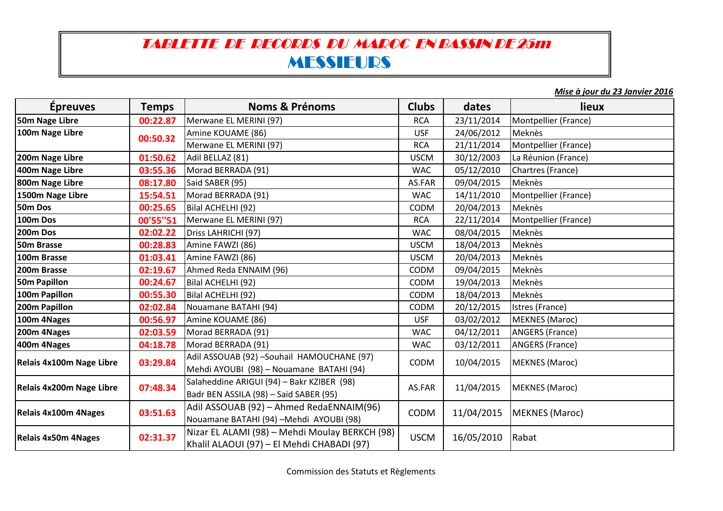## TABLETTE DE RECORDS DU MAROC EN BASSIN DE 25mMESSIEURS

 *Mise à jour du 23 Janvier 2016*

| <b>Épreuves</b>                 | <b>Temps</b> | <b>Noms &amp; Prénoms</b>                                                                    | <b>Clubs</b> | dates      | lieux                  |
|---------------------------------|--------------|----------------------------------------------------------------------------------------------|--------------|------------|------------------------|
| 50m Nage Libre                  | 00:22.87     | Merwane EL MERINI (97)                                                                       | <b>RCA</b>   | 23/11/2014 | Montpellier (France)   |
| 100m Nage Libre                 | 00:50.32     | Amine KOUAME (86)                                                                            | <b>USF</b>   | 24/06/2012 | Meknès                 |
|                                 |              | Merwane EL MERINI (97)                                                                       | <b>RCA</b>   | 21/11/2014 | Montpellier (France)   |
| 200m Nage Libre                 | 01:50.62     | Adil BELLAZ (81)                                                                             | <b>USCM</b>  | 30/12/2003 | La Réunion (France)    |
| 400m Nage Libre                 | 03:55.36     | Morad BERRADA (91)                                                                           | <b>WAC</b>   | 05/12/2010 | Chartres (France)      |
| 800m Nage Libre                 | 08:17.80     | Said SABER (95)                                                                              | AS.FAR       | 09/04/2015 | Meknès                 |
| 1500m Nage Libre                | 15:54.51     | Morad BERRADA (91)                                                                           | <b>WAC</b>   | 14/11/2010 | Montpellier (France)   |
| 50m Dos                         | 00:25.65     | Bilal ACHELHI (92)                                                                           | CODM         | 20/04/2013 | Meknès                 |
| <b>100m Dos</b>                 | 00'55"51     | Merwane EL MERINI (97)                                                                       | <b>RCA</b>   | 22/11/2014 | Montpellier (France)   |
| <b>200m Dos</b>                 | 02:02.22     | Driss LAHRICHI (97)                                                                          | <b>WAC</b>   | 08/04/2015 | Meknès                 |
| 50m Brasse                      | 00:28.83     | Amine FAWZI (86)                                                                             | <b>USCM</b>  | 18/04/2013 | Meknès                 |
| 100m Brasse                     | 01:03.41     | Amine FAWZI (86)                                                                             | <b>USCM</b>  | 20/04/2013 | Meknès                 |
| 200m Brasse                     | 02:19.67     | Ahmed Reda ENNAIM (96)                                                                       | CODM         | 09/04/2015 | Meknès                 |
| 50m Papillon                    | 00:24.67     | Bilal ACHELHI (92)                                                                           | <b>CODM</b>  | 19/04/2013 | Meknès                 |
| 100m Papillon                   | 00:55.30     | Bilal ACHELHI (92)                                                                           | CODM         | 18/04/2013 | Meknès                 |
| 200m Papillon                   | 02:02.84     | Nouamane BATAHI (94)                                                                         | <b>CODM</b>  | 20/12/2015 | Istres (France)        |
| 100m 4Nages                     | 00:56.97     | Amine KOUAME (86)                                                                            | <b>USF</b>   | 03/02/2012 | <b>MEKNES</b> (Maroc)  |
| 200m 4Nages                     | 02:03.59     | Morad BERRADA (91)                                                                           | <b>WAC</b>   | 04/12/2011 | <b>ANGERS (France)</b> |
| 400m 4Nages                     | 04:18.78     | Morad BERRADA (91)                                                                           | <b>WAC</b>   | 03/12/2011 | <b>ANGERS (France)</b> |
| Relais 4x100m Nage Libre        | 03:29.84     | Adil ASSOUAB (92) -Souhail HAMOUCHANE (97)<br>Mehdi AYOUBI (98) - Nouamane BATAHI (94)       | CODM         | 10/04/2015 | <b>MEKNES</b> (Maroc)  |
| <b>Relais 4x200m Nage Libre</b> | 07:48.34     | Salaheddine ARIGUI (94) - Bakr KZIBER (98)<br>Badr BEN ASSILA (98) - Said SABER (95)         | AS.FAR       | 11/04/2015 | <b>MEKNES (Maroc)</b>  |
| <b>Relais 4x100m 4Nages</b>     | 03:51.63     | Adil ASSOUAB (92) - Ahmed RedaENNAIM(96)<br>Nouamane BATAHI (94) - Mehdi AYOUBI (98)         | <b>CODM</b>  | 11/04/2015 | <b>MEKNES</b> (Maroc)  |
| <b>Relais 4x50m 4Nages</b>      | 02:31.37     | Nizar EL ALAMI (98) - Mehdi Moulay BERKCH (98)<br>Khalil ALAOUI (97) - El Mehdi CHABADI (97) | <b>USCM</b>  | 16/05/2010 | Rabat                  |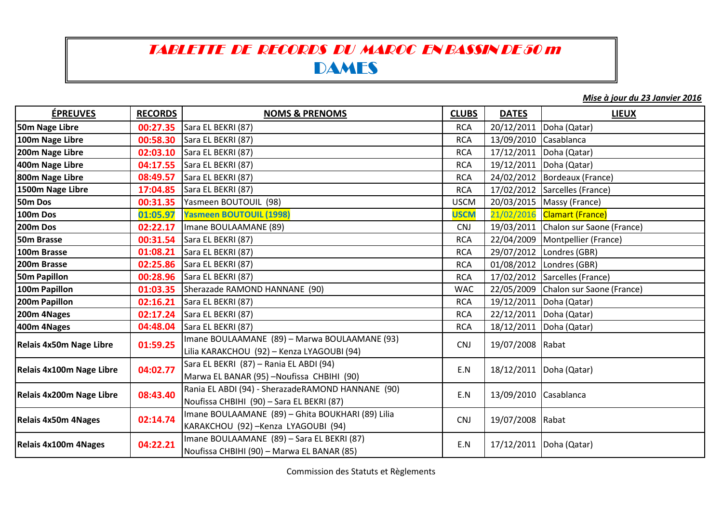## TABLETTE DE RECORDS DU MAROC EN BASSIN DE 50 mDAMES

*Mise à jour du 23 Janvier 2016*

| <b>ÉPREUVES</b>            | <b>RECORDS</b> | <b>NOMS &amp; PRENOMS</b>                                                                      | <b>CLUBS</b> | <b>DATES</b>          | <b>LIEUX</b>                         |
|----------------------------|----------------|------------------------------------------------------------------------------------------------|--------------|-----------------------|--------------------------------------|
| 50m Nage Libre             | 00:27.35       | Sara EL BEKRI (87)                                                                             | <b>RCA</b>   | 20/12/2011            | Doha (Qatar)                         |
| 100m Nage Libre            | 00:58.30       | Sara EL BEKRI (87)                                                                             | <b>RCA</b>   | 13/09/2010            | Casablanca                           |
| 200m Nage Libre            | 02:03.10       | Sara EL BEKRI (87)                                                                             | <b>RCA</b>   | 17/12/2011            | Doha (Qatar)                         |
| 400m Nage Libre            | 04:17.55       | Sara EL BEKRI (87)                                                                             | <b>RCA</b>   | 19/12/2011            | Doha (Qatar)                         |
| 800m Nage Libre            | 08:49.57       | Sara EL BEKRI (87)                                                                             | <b>RCA</b>   |                       | 24/02/2012   Bordeaux (France)       |
| 1500m Nage Libre           | 17:04.85       | Sara EL BEKRI (87)                                                                             | <b>RCA</b>   |                       | 17/02/2012 Sarcelles (France)        |
| 50m Dos                    | 00:31.35       | Yasmeen BOUTOUIL (98)                                                                          | <b>USCM</b>  |                       | 20/03/2015   Massy (France)          |
| 100m Dos                   | 01:05.97       | <b>Yasmeen BOUTOUIL (1998)</b>                                                                 | <b>USCM</b>  |                       | 21/02/2016 Clamart (France)          |
| 200m Dos                   | 02:22.17       | Imane BOULAAMANE (89)                                                                          | <b>CNJ</b>   |                       | 19/03/2011 Chalon sur Saone (France) |
| 50m Brasse                 | 00:31.54       | Sara EL BEKRI (87)                                                                             | <b>RCA</b>   | 22/04/2009            | Montpellier (France)                 |
| 100m Brasse                | 01:08.21       | Sara EL BEKRI (87)                                                                             | <b>RCA</b>   |                       | 29/07/2012 Londres (GBR)             |
| 200m Brasse                | 02:25.86       | Sara EL BEKRI (87)                                                                             | <b>RCA</b>   |                       | 01/08/2012 Londres (GBR)             |
| <b>50m Papillon</b>        | 00:28.96       | Sara EL BEKRI (87)                                                                             | <b>RCA</b>   |                       | 17/02/2012 Sarcelles (France)        |
| 100m Papillon              | 01:03.35       | Sherazade RAMOND HANNANE (90)                                                                  | <b>WAC</b>   | 22/05/2009            | Chalon sur Saone (France)            |
| 200m Papillon              | 02:16.21       | Sara EL BEKRI (87)                                                                             | <b>RCA</b>   |                       | 19/12/2011 Doha (Qatar)              |
| 200m 4Nages                | 02:17.24       | Sara EL BEKRI (87)                                                                             | <b>RCA</b>   |                       | 22/12/2011   Doha (Qatar)            |
| 400m 4Nages                | 04:48.04       | Sara EL BEKRI (87)                                                                             | <b>RCA</b>   |                       | 18/12/2011   Doha (Qatar)            |
| Relais 4x50m Nage Libre    | 01:59.25       | Imane BOULAAMANE (89) - Marwa BOULAAMANE (93)<br>Lilia KARAKCHOU (92) - Kenza LYAGOUBI (94)    | <b>CNJ</b>   | 19/07/2008 Rabat      |                                      |
| Relais 4x100m Nage Libre   | 04:02.77       | Sara EL BEKRI (87) - Rania EL ABDI (94)<br>Marwa EL BANAR (95) - Noufissa CHBIHI (90)          | E.N          |                       | 18/12/2011   Doha (Qatar)            |
| Relais 4x200m Nage Libre   | 08:43.40       | Rania EL ABDI (94) - SherazadeRAMOND HANNANE (90)<br>Noufissa CHBIHI (90) - Sara EL BEKRI (87) | E.N          | 13/09/2010 Casablanca |                                      |
| <b>Relais 4x50m 4Nages</b> | 02:14.74       | Imane BOULAAMANE (89) - Ghita BOUKHARI (89) Lilia<br>KARAKCHOU (92) - Kenza LYAGOUBI (94)      | <b>CNJ</b>   | 19/07/2008 Rabat      |                                      |
| Relais 4x100m 4Nages       | 04:22.21       | Imane BOULAAMANE (89) - Sara EL BEKRI (87)<br>Noufissa CHBIHI (90) - Marwa EL BANAR (85)       | E.N          | 17/12/2011            | Doha (Qatar)                         |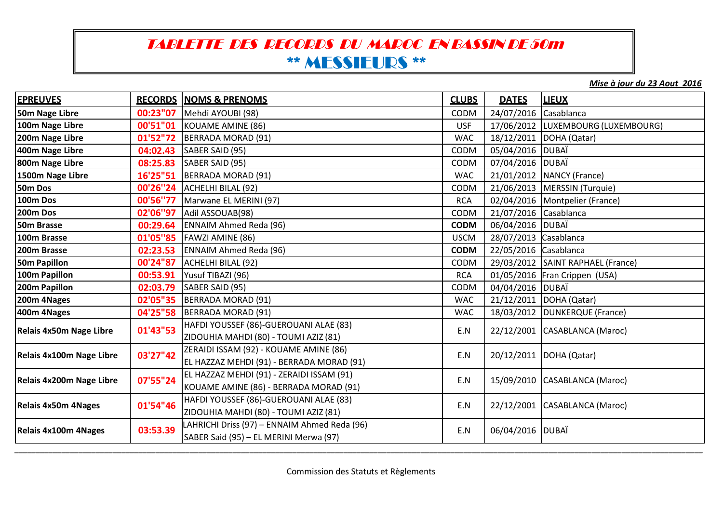## TABLETTE DES RECORDS DU MAROC EN BASSIN DE 50m\*\* MESSIEURS \*\*

*Mise à jour du 23 Aout 2016*

| <b>EPREUVES</b>            |          | <b>RECORDS NOMS &amp; PRENOMS</b>                                                      | <b>CLUBS</b> | <b>DATES</b>          | <b>LIEUX</b>                       |
|----------------------------|----------|----------------------------------------------------------------------------------------|--------------|-----------------------|------------------------------------|
| 50m Nage Libre             | 00:23"07 | Mehdi AYOUBI (98)                                                                      | CODM         | 24/07/2016            | Casablanca                         |
| 100m Nage Libre            |          | <b>00'51"01</b> KOUAME AMINE (86)                                                      | <b>USF</b>   |                       | 17/06/2012 LUXEMBOURG (LUXEMBOURG) |
| 200m Nage Libre            |          | 01'52"72   BERRADA MORAD (91)                                                          | <b>WAC</b>   |                       | 18/12/2011   DOHA (Qatar)          |
| 400m Nage Libre            | 04:02.43 | SABER SAID (95)                                                                        | CODM         | 05/04/2016 DUBAÏ      |                                    |
| 800m Nage Libre            | 08:25.83 | SABER SAID (95)                                                                        | CODM         | 07/04/2016 DUBAÏ      |                                    |
| 1500m Nage Libre           |          | 16'25"51  BERRADA MORAD (91)                                                           | <b>WAC</b>   | 21/01/2012            | <b>NANCY</b> (France)              |
| 50m Dos                    |          | 00'26"24   ACHELHI BILAL (92)                                                          | <b>CODM</b>  |                       | 21/06/2013   MERSSIN (Turquie)     |
| 100m Dos                   | 00'56"77 | Marwane EL MERINI (97)                                                                 | <b>RCA</b>   |                       | 02/04/2016   Montpelier (France)   |
| 200m Dos                   | 02'06"97 | Adil ASSOUAB(98)                                                                       | CODM         | 21/07/2016 Casablanca |                                    |
| 50m Brasse                 | 00:29.64 | <b>ENNAIM Ahmed Reda (96)</b>                                                          | <b>CODM</b>  | 06/04/2016            | <b>DUBAÏ</b>                       |
| 100m Brasse                |          | 01'05"85   FAWZI AMINE (86)                                                            | <b>USCM</b>  | 28/07/2013 Casablanca |                                    |
| 200m Brasse                |          | 02:23.53 ENNAIM Ahmed Reda (96)                                                        | <b>CODM</b>  | 22/05/2016 Casablanca |                                    |
| <b>50m Papillon</b>        | 00'24"87 | ACHELHI BILAL (92)                                                                     | CODM         |                       | 29/03/2012 SAINT RAPHAEL (France)  |
| 100m Papillon              | 00:53.91 | Yusuf TIBAZI (96)                                                                      | <b>RCA</b>   |                       | 01/05/2016 Fran Crippen (USA)      |
| 200m Papillon              | 02:03.79 | SABER SAID (95)                                                                        | CODM         | 04/04/2016 DUBAÏ      |                                    |
| 200m 4Nages                |          | 02'05"35   BERRADA MORAD (91)                                                          | <b>WAC</b>   |                       | 21/12/2011   DOHA (Qatar)          |
| 400m 4Nages                |          | 04'25"58   BERRADA MORAD (91)                                                          | <b>WAC</b>   | 18/03/2012            | <b>DUNKERQUE</b> (France)          |
| Relais 4x50m Nage Libre    | 01'43"53 | HAFDI YOUSSEF (86)-GUEROUANI ALAE (83)<br>ZIDOUHIA MAHDI (80) - TOUMI AZIZ (81)        | E.N          |                       | 22/12/2001 CASABLANCA (Maroc)      |
| Relais 4x100m Nage Libre   | 03'27"42 | ZERAIDI ISSAM (92) - KOUAME AMINE (86)<br>EL HAZZAZ MEHDI (91) - BERRADA MORAD (91)    | E.N          | 20/12/2011            | DOHA (Qatar)                       |
| Relais 4x200m Nage Libre   | 07'55"24 | EL HAZZAZ MEHDI (91) - ZERAIDI ISSAM (91)<br>KOUAME AMINE (86) - BERRADA MORAD (91)    | E.N          |                       | 15/09/2010 CASABLANCA (Maroc)      |
| <b>Relais 4x50m 4Nages</b> | 01'54"46 | HAFDI YOUSSEF (86)-GUEROUANI ALAE (83)<br>ZIDOUHIA MAHDI (80) - TOUMI AZIZ (81)        | E.N          |                       | 22/12/2001 CASABLANCA (Maroc)      |
| Relais 4x100m 4Nages       | 03:53.39 | LAHRICHI Driss (97) - ENNAIM Ahmed Reda (96)<br>SABER Said (95) - EL MERINI Merwa (97) | E.N          | 06/04/2016            | <b>DUBAÏ</b>                       |

 *\_\_\_\_\_\_\_\_\_\_\_\_\_\_\_\_\_\_\_\_\_\_\_\_\_\_\_\_\_\_\_\_\_\_\_\_\_\_\_\_\_\_\_\_\_\_\_\_\_\_\_\_\_\_\_\_\_\_\_\_\_\_\_\_\_\_\_\_\_\_\_\_\_\_\_\_\_\_\_\_\_\_\_\_\_\_\_\_\_\_\_\_\_\_\_\_\_\_\_\_\_\_\_\_\_\_\_\_\_\_\_\_\_\_\_\_\_\_\_\_\_\_\_\_\_\_\_\_\_\_\_\_\_\_\_\_\_\_\_\_\_\_\_\_\_\_\_\_\_\_\_\_\_\_\_\_\_\_\_\_\_*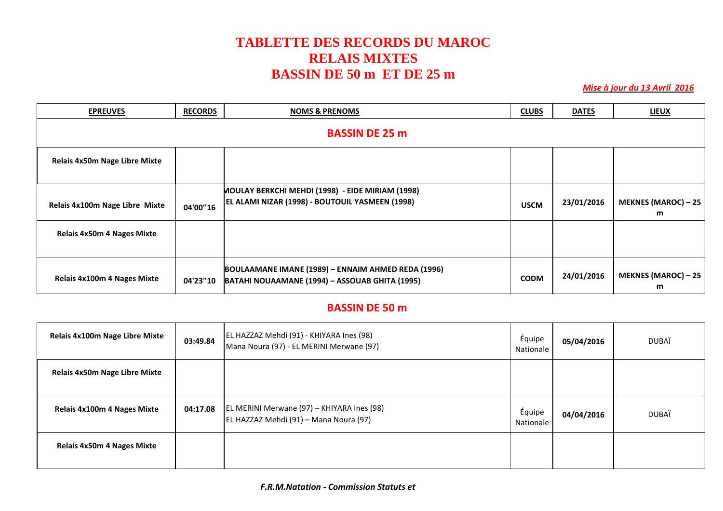#### **TABLETTE DES RECORDS DU MAROC RELAIS MIXTES BASSIN DE 50 m ET DE 25 m**

 *Mise à jour du 13 Avril 2016*

| <b>EPREUVES</b>                      | <b>RECORDS</b>        | <b>NOMS &amp; PRENOMS</b>                                                                            | <b>CLUBS</b> | <b>DATES</b> | <b>LIEUX</b>                    |  |  |  |
|--------------------------------------|-----------------------|------------------------------------------------------------------------------------------------------|--------------|--------------|---------------------------------|--|--|--|
|                                      | <b>BASSIN DE 25 m</b> |                                                                                                      |              |              |                                 |  |  |  |
| <b>Relais 4x50m Nage Libre Mixte</b> |                       |                                                                                                      |              |              |                                 |  |  |  |
| Relais 4x100m Nage Libre Mixte       | 04'00"16              | MOULAY BERKCHI MEHDI (1998) - EIDE MIRIAM (1998)<br>EL ALAMI NIZAR (1998) - BOUTOUIL YASMEEN (1998)  | <b>USCM</b>  | 23/01/2016   | <b>MEKNES (MAROC) - 25</b><br>m |  |  |  |
| <b>Relais 4x50m 4 Nages Mixte</b>    |                       |                                                                                                      |              |              |                                 |  |  |  |
| <b>Relais 4x100m 4 Nages Mixte</b>   | 04'23"10              | BOULAAMANE IMANE (1989) - ENNAIM AHMED REDA (1996)<br>BATAHI NOUAAMANE (1994) - ASSOUAB GHITA (1995) | <b>CODM</b>  | 24/01/2016   | <b>MEKNES (MAROC) - 25</b><br>m |  |  |  |

#### **BASSIN DE 50 m**

| <b>Relais 4x100m Nage Libre Mixte</b> | 03:49.84 | EL HAZZAZ Mehdi (91) - KHIYARA Ines (98)<br>Mana Noura (97) - EL MERINI Merwane (97) | Équipe<br>Nationale | 05/04/2016 | <b>DUBAÏ</b> |
|---------------------------------------|----------|--------------------------------------------------------------------------------------|---------------------|------------|--------------|
| Relais 4x50m Nage Libre Mixte         |          |                                                                                      |                     |            |              |
| <b>Relais 4x100m 4 Nages Mixte</b>    | 04:17.08 | EL MERINI Merwane (97) - KHIYARA Ines (98)<br>EL HAZZAZ Mehdi (91) - Mana Noura (97) | Équipe<br>Nationale | 04/04/2016 | <b>DUBAÏ</b> |
| <b>Relais 4x50m 4 Nages Mixte</b>     |          |                                                                                      |                     |            |              |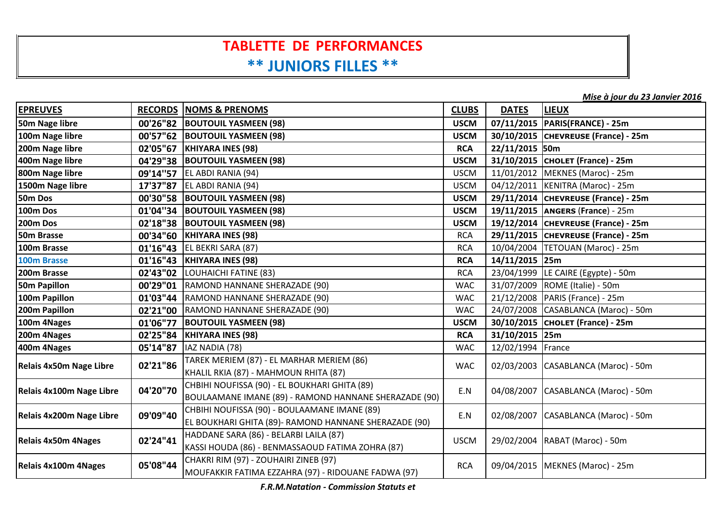## **TABLETTE DE PERFORMANCES\*\* JUNIORS FILLES \*\***

*Mise à jour du 23 Janvier 2016*

| <b>EPREUVES</b>            |          | <b>RECORDS NOMS &amp; PRENOMS</b>                                                                      | <b>CLUBS</b> | <b>DATES</b>      | <b>LIEUX</b>                          |
|----------------------------|----------|--------------------------------------------------------------------------------------------------------|--------------|-------------------|---------------------------------------|
| 50m Nage libre             | 00'26"82 | <b>BOUTOUIL YASMEEN (98)</b>                                                                           | <b>USCM</b>  |                   | 07/11/2015   PARIS(FRANCE) - 25m      |
| 100m Nage libre            |          | 00'57"62  BOUTOUIL YASMEEN (98)                                                                        | <b>USCM</b>  |                   | 30/10/2015 CHEVREUSE (France) - 25m   |
| 200m Nage libre            | 02'05"67 | <b>KHIYARA INES (98)</b>                                                                               | <b>RCA</b>   | 22/11/2015 50m    |                                       |
| 400m Nage libre            |          | 04'29"38  BOUTOUIL YASMEEN (98)                                                                        | <b>USCM</b>  |                   | 31/10/2015 CHOLET (France) - 25m      |
| 800m Nage libre            | 09'14"57 | EL ABDI RANIA (94)                                                                                     | <b>USCM</b>  |                   | 11/01/2012   MEKNES (Maroc) - 25m     |
| 1500m Nage libre           | 17'37"87 | EL ABDI RANIA (94)                                                                                     | <b>USCM</b>  |                   | 04/12/2011   KENITRA (Maroc) - 25m    |
| 50m Dos                    |          | 00'30"58  BOUTOUIL YASMEEN (98)                                                                        | <b>USCM</b>  |                   | 29/11/2014 CHEVREUSE (France) - 25m   |
| 100m Dos                   |          | 01'04"34  BOUTOUIL YASMEEN (98)                                                                        | <b>USCM</b>  |                   | 19/11/2015   ANGERS (France) - 25m    |
| 200m Dos                   |          | 02'18"38  BOUTOUIL YASMEEN (98)                                                                        | <b>USCM</b>  |                   | 19/12/2014 CHEVREUSE (France) - 25m   |
| 50m Brasse                 | 00'34"60 | <b>KHIYARA INES (98)</b>                                                                               | <b>RCA</b>   |                   | 29/11/2015 CHEVREUSE (France) - 25m   |
| 100m Brasse                |          | 01'16"43   EL BEKRI SARA (87)                                                                          | <b>RCA</b>   |                   | 10/04/2004   TETOUAN (Maroc) - 25m    |
| 100m Brasse                |          | 01'16"43   KHIYARA INES (98)                                                                           | <b>RCA</b>   | 14/11/2015 25m    |                                       |
| 200m Brasse                |          | 02'43"02 LOUHAICHI FATINE (83)                                                                         | <b>RCA</b>   |                   | 23/04/1999 LE CAIRE (Egypte) - 50m    |
| <b>50m Papillon</b>        | 00'29"01 | RAMOND HANNANE SHERAZADE (90)                                                                          | <b>WAC</b>   |                   | 31/07/2009 ROME (Italie) - 50m        |
| 100m Papillon              | 01'03"44 | RAMOND HANNANE SHERAZADE (90)                                                                          | <b>WAC</b>   |                   | 21/12/2008   PARIS (France) - 25m     |
| 200m Papillon              |          | 02'21"00   RAMOND HANNANE SHERAZADE (90)                                                               | <b>WAC</b>   |                   | 24/07/2008 CASABLANCA (Maroc) - 50m   |
| 100m 4Nages                | 01'06"77 | <b>BOUTOUIL YASMEEN (98)</b>                                                                           | <b>USCM</b>  |                   | 30/10/2015 CHOLET (France) - 25m      |
| 200m 4Nages                | 02'25"84 | <b>KHIYARA INES (98)</b>                                                                               | <b>RCA</b>   | 31/10/2015 25m    |                                       |
| 400m 4Nages                | 05'14"87 | IAZ NADIA (78)                                                                                         | <b>WAC</b>   | 12/02/1994 France |                                       |
| Relais 4x50m Nage Libre    | 02'21"86 | TAREK MERIEM (87) - EL MARHAR MERIEM (86)<br>KHALIL RKIA (87) - MAHMOUN RHITA (87)                     | <b>WAC</b>   |                   | 02/03/2003 CASABLANCA (Maroc) - 50m   |
| Relais 4x100m Nage Libre   | 04'20"70 | CHBIHI NOUFISSA (90) - EL BOUKHARI GHITA (89)<br>BOULAAMANE IMANE (89) - RAMOND HANNANE SHERAZADE (90) | E.N          |                   | 04/08/2007   CASABLANCA (Maroc) - 50m |
| Relais 4x200m Nage Libre   | 09'09"40 | CHBIHI NOUFISSA (90) - BOULAAMANE IMANE (89)<br>EL BOUKHARI GHITA (89)- RAMOND HANNANE SHERAZADE (90)  | E.N          |                   | 02/08/2007 CASABLANCA (Maroc) - 50m   |
| <b>Relais 4x50m 4Nages</b> | 02'24"41 | HADDANE SARA (86) - BELARBI LAILA (87)<br>KASSI HOUDA (86) - BENMASSAOUD FATIMA ZOHRA (87)             | <b>USCM</b>  |                   | 29/02/2004 RABAT (Maroc) - 50m        |
| Relais 4x100m 4Nages       | 05'08"44 | CHAKRI RIM (97) - ZOUHAIRI ZINEB (97)<br>MOUFAKKIR FATIMA EZZAHRA (97) - RIDOUANE FADWA (97)           | <b>RCA</b>   |                   | 09/04/2015   MEKNES (Maroc) - 25m     |

*F.R.M.Natation - Commission Statuts et*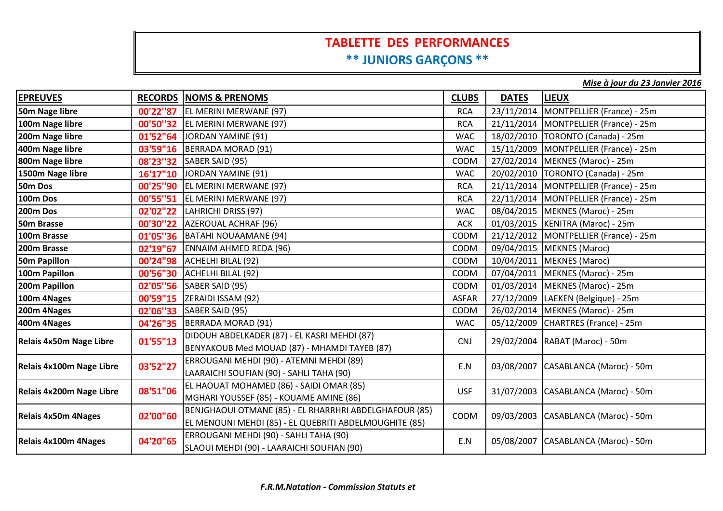#### **TABLETTE DES PERFORMANCES\*\* JUNIORS GARÇONS \*\***

*Mise à jour du 23 Janvier 2016*

| <b>EPREUVES</b>            |          | <b>RECORDS NOMS &amp; PRENOMS</b>                                                                                | <b>CLUBS</b> | <b>DATES</b> | <b>LIEUX</b>                            |
|----------------------------|----------|------------------------------------------------------------------------------------------------------------------|--------------|--------------|-----------------------------------------|
| 50m Nage libre             | 00'22"87 | EL MERINI MERWANE (97)                                                                                           | <b>RCA</b>   | 23/11/2014   | MONTPELLIER (France) - 25m              |
| 100m Nage libre            |          | 00'50"32   EL MERINI MERWANE (97)                                                                                | <b>RCA</b>   |              | 21/11/2014   MONTPELLIER (France) - 25m |
| 200m Nage libre            | 01'52"64 | JORDAN YAMINE (91)                                                                                               | <b>WAC</b>   |              | 18/02/2010   TORONTO (Canada) - 25m     |
| 400m Nage libre            | 03'59"16 | BERRADA MORAD (91)                                                                                               | <b>WAC</b>   |              | 15/11/2009   MONTPELLIER (France) - 25m |
| 800m Nage libre            | 08'23"32 | SABER SAID (95)                                                                                                  | CODM         |              | 27/02/2014   MEKNES (Maroc) - 25m       |
| 1500m Nage libre           | 16'17"10 | JORDAN YAMINE (91)                                                                                               | <b>WAC</b>   |              | 20/02/2010   TORONTO (Canada) - 25m     |
| 50m Dos                    | 00'25"90 | EL MERINI MERWANE (97)                                                                                           | <b>RCA</b>   |              | 21/11/2014   MONTPELLIER (France) - 25m |
| 100m Dos                   | 00'55"51 | EL MERINI MERWANE (97)                                                                                           | <b>RCA</b>   |              | 22/11/2014   MONTPELLIER (France) - 25m |
| 200m Dos                   |          | 02'02"22 LAHRICHI DRISS (97)                                                                                     | <b>WAC</b>   |              | 08/04/2015   MEKNES (Maroc) - 25m       |
| 50m Brasse                 |          | 00'30"22 AZEROUAL ACHRAF (96)                                                                                    | <b>ACK</b>   |              | 01/03/2015   KENITRA (Maroc) - 25m      |
| 100m Brasse                |          | 01'05"36   BATAHI NOUAAMANE (94)                                                                                 | <b>CODM</b>  |              | 21/12/2012   MONTPELLIER (France) - 25m |
| 200m Brasse                | 02'19"67 | <b>ENNAIM AHMED REDA (96)</b>                                                                                    | CODM         |              | 09/04/2015   MEKNES (Maroc)             |
| <b>50m Papillon</b>        | 00'24"98 | ACHELHI BILAL (92)                                                                                               | CODM         |              | 10/04/2011   MEKNES (Maroc)             |
| 100m Papillon              | 00'56"30 | ACHELHI BILAL (92)                                                                                               | CODM         |              | 07/04/2011   MEKNES (Maroc) - 25m       |
| 200m Papillon              |          | 02'05"56   SABER SAID (95)                                                                                       | CODM         |              | 01/03/2014   MEKNES (Maroc) - 25m       |
| 100m 4Nages                | 00'59"15 | ZERAIDI ISSAM (92)                                                                                               | <b>ASFAR</b> |              | 27/12/2009 LAEKEN (Belgique) - 25m      |
| 200m 4Nages                | 02'06"33 | SABER SAID (95)                                                                                                  | <b>CODM</b>  |              | 26/02/2014   MEKNES (Maroc) - 25m       |
| 400m 4Nages                |          | 04'26"35   BERRADA MORAD (91)                                                                                    | <b>WAC</b>   | 05/12/2009   | CHARTRES (France) - 25m                 |
| Relais 4x50m Nage Libre    | 01'55"13 | DIDOUH ABDELKADER (87) - EL KASRI MEHDI (87)<br>BENYAKOUB Med MOUAD (87) - MHAMDI TAYEB (87)                     | <b>CNJ</b>   |              | 29/02/2004   RABAT (Maroc) - 50m        |
| Relais 4x100m Nage Libre   | 03'52"27 | ERROUGANI MEHDI (90) - ATEMNI MEHDI (89)<br>LAARAICHI SOUFIAN (90) - SAHLI TAHA (90)                             | E.N          |              | 03/08/2007   CASABLANCA (Maroc) - 50m   |
| Relais 4x200m Nage Libre   | 08'51"06 | EL HAOUAT MOHAMED (86) - SAIDI OMAR (85)<br>MGHARI YOUSSEF (85) - KOUAME AMINE (86)                              | <b>USF</b>   |              | 31/07/2003 CASABLANCA (Maroc) - 50m     |
| <b>Relais 4x50m 4Nages</b> | 02'00"60 | BENJGHAOUI OTMANE (85) - EL RHARRHRI ABDELGHAFOUR (85)<br>EL MENOUNI MEHDI (85) - EL QUEBRITI ABDELMOUGHITE (85) | CODM         |              | 09/03/2003 CASABLANCA (Maroc) - 50m     |
| Relais 4x100m 4Nages       | 04'20"65 | ERROUGANI MEHDI (90) - SAHLI TAHA (90)<br>SLAOUI MEHDI (90) - LAARAICHI SOUFIAN (90)                             | E.N          |              | 05/08/2007   CASABLANCA (Maroc) - 50m   |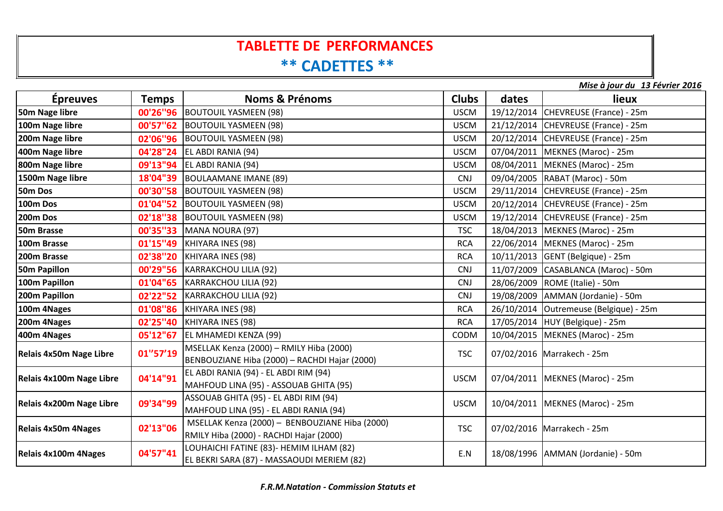# **TABLETTE DE PERFORMANCES**

## **\*\* CADETTES \*\***

*Mise à jour du 13 Février 2016*

| <b>Épreuves</b>            | <b>Temps</b> | <b>Noms &amp; Prénoms</b>                                                                 | <b>Clubs</b> | dates | lieux                                  |
|----------------------------|--------------|-------------------------------------------------------------------------------------------|--------------|-------|----------------------------------------|
| 50m Nage libre             |              | 00'26"96   BOUTOUIL YASMEEN (98)                                                          | <b>USCM</b>  |       | 19/12/2014 CHEVREUSE (France) - 25m    |
| 100m Nage libre            |              | 00'57"62 BOUTOUIL YASMEEN (98)                                                            | <b>USCM</b>  |       | 21/12/2014 CHEVREUSE (France) - 25m    |
| 200m Nage libre            |              | 02'06"96   BOUTOUIL YASMEEN (98)                                                          | <b>USCM</b>  |       | 20/12/2014 CHEVREUSE (France) - 25m    |
| 400m Nage libre            |              | 04'28"24   EL ABDI RANIA (94)                                                             | <b>USCM</b>  |       | 07/04/2011   MEKNES (Maroc) - 25m      |
| 800m Nage libre            |              | 09'13"94 EL ABDI RANIA (94)                                                               | <b>USCM</b>  |       | 08/04/2011 MEKNES (Maroc) - 25m        |
| 1500m Nage libre           |              | 18'04"39 BOULAAMANE IMANE (89)                                                            | <b>CNJ</b>   |       | 09/04/2005   RABAT (Maroc) - 50m       |
| 50m Dos                    |              | 00'30"58   BOUTOUIL YASMEEN (98)                                                          | <b>USCM</b>  |       | 29/11/2014 CHEVREUSE (France) - 25m    |
| 100m Dos                   | 01'04"52     | <b>BOUTOUIL YASMEEN (98)</b>                                                              | <b>USCM</b>  |       | 20/12/2014 CHEVREUSE (France) - 25m    |
| 200m Dos                   |              | 02'18"38  BOUTOUIL YASMEEN (98)                                                           | <b>USCM</b>  |       | 19/12/2014 CHEVREUSE (France) - 25m    |
| 50m Brasse                 |              | 00'35"33   MANA NOURA (97)                                                                | <b>TSC</b>   |       | 18/04/2013   MEKNES (Maroc) - 25m      |
| 100m Brasse                |              | 01'15"49   KHIYARA INES (98)                                                              | <b>RCA</b>   |       | 22/06/2014   MEKNES (Maroc) - 25m      |
| 200m Brasse                |              | 02'38"20   KHIYARA INES (98)                                                              | <b>RCA</b>   |       | 10/11/2013 GENT (Belgique) - 25m       |
| 50m Papillon               |              | 00'29"56   KARRAKCHOU LILIA (92)                                                          | <b>CNJ</b>   |       | 11/07/2009 CASABLANCA (Maroc) - 50m    |
| 100m Papillon              |              | 01'04"65   KARRAKCHOU LILIA (92)                                                          | <b>CNJ</b>   |       | 28/06/2009   ROME (Italie) - 50m       |
| 200m Papillon              |              | 02'22"52 KARRAKCHOU LILIA (92)                                                            | <b>CNJ</b>   |       | 19/08/2009   AMMAN (Jordanie) - 50m    |
| 100m 4Nages                |              | 01'08"86   KHIYARA INES (98)                                                              | <b>RCA</b>   |       | 26/10/2014 Outremeuse (Belgique) - 25m |
| 200m 4Nages                |              | 02'25"40 KHIYARA INES (98)                                                                | <b>RCA</b>   |       | 17/05/2014   HUY (Belgique) - 25m      |
| 400m 4Nages                |              | 05'12"67 EL MHAMEDI KENZA (99)                                                            | <b>CODM</b>  |       | 10/04/2015   MEKNES (Maroc) - 25m      |
| Relais 4x50m Nage Libre    | 01"57'19     | MSELLAK Kenza (2000) - RMILY Hiba (2000)<br>BENBOUZIANE Hiba (2000) - RACHDI Hajar (2000) | <b>TSC</b>   |       | 07/02/2016 Marrakech - 25m             |
| Relais 4x100m Nage Libre   | 04'14"91     | EL ABDI RANIA (94) - EL ABDI RIM (94)<br>MAHFOUD LINA (95) - ASSOUAB GHITA (95)           | <b>USCM</b>  |       | 07/04/2011   MEKNES (Maroc) - 25m      |
| Relais 4x200m Nage Libre   | 09'34"99     | ASSOUAB GHITA (95) - EL ABDI RIM (94)<br>MAHFOUD LINA (95) - EL ABDI RANIA (94)           | <b>USCM</b>  |       | 10/04/2011   MEKNES (Maroc) - 25m      |
| <b>Relais 4x50m 4Nages</b> | 02'13"06     | MSELLAK Kenza (2000) - BENBOUZIANE Hiba (2000)<br>RMILY Hiba (2000) - RACHDI Hajar (2000) | <b>TSC</b>   |       | 07/02/2016 Marrakech - 25m             |
| Relais 4x100m 4Nages       | 04'57"41     | LOUHAICHI FATINE (83)- HEMIM ILHAM (82)<br>EL BEKRI SARA (87) - MASSAOUDI MERIEM (82)     | E.N          |       | 18/08/1996   AMMAN (Jordanie) - 50m    |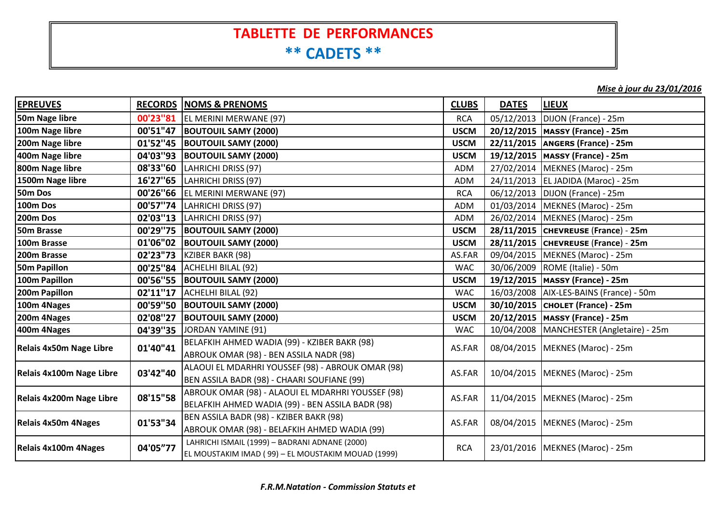## **TABLETTE DE PERFORMANCES \*\* CADETS \*\***

*Mise à jour du 23/01/2016*

| <b>EPREUVES</b>                |           | <b>RECORDS NOMS &amp; PRENOMS</b>                  | <b>CLUBS</b> | <b>DATES</b> | <b>LIEUX</b>                               |
|--------------------------------|-----------|----------------------------------------------------|--------------|--------------|--------------------------------------------|
| 50m Nage libre                 | 00'23"81  | EL MERINI MERWANE (97)                             | <b>RCA</b>   |              | 05/12/2013   DIJON (France) - 25m          |
| 100m Nage libre                | 00'51"47  | <b>BOUTOUIL SAMY (2000)</b>                        | <b>USCM</b>  |              | 20/12/2015   MASSY (France) - 25m          |
| 200m Nage libre                |           | 01'52"45  BOUTOUIL SAMY (2000)                     | <b>USCM</b>  |              | 22/11/2015   ANGERS (France) - 25m         |
| 400m Nage libre                |           | 04'03"93  BOUTOUIL SAMY (2000)                     | <b>USCM</b>  |              | 19/12/2015   MASSY (France) - 25m          |
| 800m Nage libre                | 08'33"60  | LAHRICHI DRISS (97)                                | <b>ADM</b>   |              | 27/02/2014   MEKNES (Maroc) - 25m          |
| 1500m Nage libre               |           | 16'27"65   LAHRICHI DRISS (97)                     | <b>ADM</b>   |              | 24/11/2013   EL JADIDA (Maroc) - 25m       |
| 50m Dos                        |           | 00'26"66   EL MERINI MERWANE (97)                  | <b>RCA</b>   |              | 06/12/2013   DIJON (France) - 25m          |
| 100m Dos                       | 00'57"74  | LAHRICHI DRISS (97)                                | <b>ADM</b>   |              | 01/03/2014   MEKNES (Maroc) - 25m          |
| 200m Dos                       | 02'03''13 | LAHRICHI DRISS (97)                                | <b>ADM</b>   |              | 26/02/2014   MEKNES (Maroc) - 25m          |
| 50m Brasse                     |           | 00'29"75  BOUTOUIL SAMY (2000)                     | <b>USCM</b>  |              | 28/11/2015 CHEVREUSE (France) - 25m        |
| 100m Brasse                    |           | 01'06"02 BOUTOUIL SAMY (2000)                      | <b>USCM</b>  |              | 28/11/2015 CHEVREUSE (France) - 25m        |
| 200m Brasse                    |           | 02'23"73   KZIBER BAKR (98)                        | AS.FAR       |              | 09/04/2015   MEKNES (Maroc) - 25m          |
| <b>50m Papillon</b>            |           | 00'25"84   ACHELHI BILAL (92)                      | <b>WAC</b>   |              | 30/06/2009   ROME (Italie) - 50m           |
| 100m Papillon                  |           | 00'56"55 BOUTOUIL SAMY (2000)                      | <b>USCM</b>  |              | 19/12/2015   MASSY (France) - 25m          |
| 200m Papillon                  |           | 02'11"17   ACHELHI BILAL (92)                      | <b>WAC</b>   |              | 16/03/2008   AIX-LES-BAINS (France) - 50m  |
| 100m 4Nages                    |           | 00'59"50  BOUTOUIL SAMY (2000)                     | <b>USCM</b>  |              | 30/10/2015   CHOLET (France) - 25m         |
| 200m 4Nages                    | 02'08"27  | <b>BOUTOUIL SAMY (2000)</b>                        | <b>USCM</b>  |              | 20/12/2015   MASSY (France) - 25m          |
| 400m 4Nages                    |           | 04'39"35 JORDAN YAMINE (91)                        | <b>WAC</b>   |              | 10/04/2008   MANCHESTER (Angletaire) - 25m |
| <b>Relais 4x50m Nage Libre</b> | 01'40"41  | BELAFKIH AHMED WADIA (99) - KZIBER BAKR (98)       | AS.FAR       |              | 08/04/2015   MEKNES (Maroc) - 25m          |
|                                |           | ABROUK OMAR (98) - BEN ASSILA NADR (98)            |              |              |                                            |
| Relais 4x100m Nage Libre       | 03'42"40  | ALAOUI EL MDARHRI YOUSSEF (98) - ABROUK OMAR (98)  | AS.FAR       |              | 10/04/2015   MEKNES (Maroc) - 25m          |
|                                |           | BEN ASSILA BADR (98) - CHAARI SOUFIANE (99)        |              |              |                                            |
| Relais 4x200m Nage Libre       | 08'15"58  | ABROUK OMAR (98) - ALAOUI EL MDARHRI YOUSSEF (98)  | AS.FAR       |              | 11/04/2015   MEKNES (Maroc) - 25m          |
|                                |           | BELAFKIH AHMED WADIA (99) - BEN ASSILA BADR (98)   |              |              |                                            |
| <b>Relais 4x50m 4Nages</b>     | 01'53"34  | BEN ASSILA BADR (98) - KZIBER BAKR (98)            | AS.FAR       |              | 08/04/2015   MEKNES (Maroc) - 25m          |
|                                |           | ABROUK OMAR (98) - BELAFKIH AHMED WADIA (99)       |              |              |                                            |
|                                | 04'05"77  | LAHRICHI ISMAIL (1999) - BADRANI ADNANE (2000)     | <b>RCA</b>   |              | 23/01/2016   MEKNES (Maroc) - 25m          |
| <b>Relais 4x100m 4Nages</b>    |           | EL MOUSTAKIM IMAD (99) - EL MOUSTAKIM MOUAD (1999) |              |              |                                            |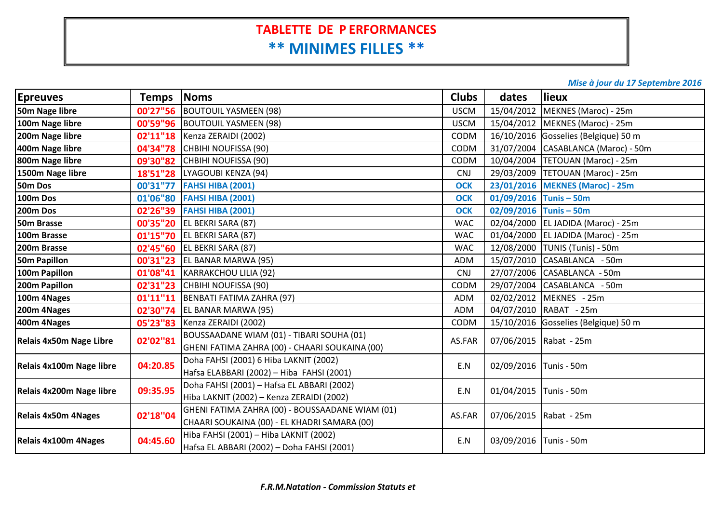## **TABLETTE DE P ERFORMANCES \*\* MINIMES FILLES \*\***

#### *Mise à jour du 17 Septembre 2016*

| <b>Epreuves</b>            | <b>Temps</b> | Noms                                            | <b>Clubs</b> | dates                    | lieux                                |
|----------------------------|--------------|-------------------------------------------------|--------------|--------------------------|--------------------------------------|
| 50m Nage libre             |              | 00'27"56  BOUTOUIL YASMEEN (98)                 | <b>USCM</b>  |                          | 15/04/2012 MEKNES (Maroc) - 25m      |
| 100m Nage libre            |              | 00'59"96   BOUTOUIL YASMEEN (98)                | <b>USCM</b>  |                          | 15/04/2012   MEKNES (Maroc) - 25m    |
| 200m Nage libre            |              | 02'11"18   Kenza ZERAIDI (2002)                 | CODM         |                          | 16/10/2016 Gosselies (Belgique) 50 m |
| 400m Nage libre            |              | 04'34"78 CHBIHI NOUFISSA (90)                   | <b>CODM</b>  |                          | 31/07/2004 CASABLANCA (Maroc) - 50m  |
| 800m Nage libre            |              | 09'30"82 CHBIHI NOUFISSA (90)                   | CODM         |                          | 10/04/2004   TETOUAN (Maroc) - 25m   |
| 1500m Nage libre           |              | 18'51"28   LYAGOUBI KENZA (94)                  | <b>CNJ</b>   |                          | 29/03/2009   TETOUAN (Maroc) - 25m   |
| 50m Dos                    |              | 00'31"77 FAHSI HIBA (2001)                      | <b>OCK</b>   |                          | 23/01/2016 MEKNES (Maroc) - 25m      |
| 100m Dos                   | 01'06"80     | <b>FAHSI HIBA (2001)</b>                        | <b>OCK</b>   | $01/09/2016$ Tunis - 50m |                                      |
| 200m Dos                   |              | 02'26"39 FAHSI HIBA (2001)                      | <b>OCK</b>   | $02/09/2016$ Tunis - 50m |                                      |
| 50m Brasse                 |              | 00'35"20 EL BEKRI SARA (87)                     | <b>WAC</b>   |                          | 02/04/2000 EL JADIDA (Maroc) - 25m   |
| 100m Brasse                |              | 01'15"70 EL BEKRI SARA (87)                     | <b>WAC</b>   |                          | 01/04/2000 EL JADIDA (Maroc) - 25m   |
| 200m Brasse                |              | 02'45"60 EL BEKRI SARA (87)                     | <b>WAC</b>   |                          | 12/08/2000 TUNIS (Tunis) - 50m       |
| <b>50m Papillon</b>        |              | <b>00'31"23</b> EL BANAR MARWA (95)             | <b>ADM</b>   |                          | 15/07/2010 CASABLANCA - 50m          |
| 100m Papillon              |              | 01'08"41 KARRAKCHOU LILIA (92)                  | <b>CNJ</b>   |                          | 27/07/2006 CASABLANCA - 50m          |
| 200m Papillon              |              | 02'31"23 CHBIHI NOUFISSA (90)                   | CODM         | 29/07/2004               | CASABLANCA - 50m                     |
| 100m 4Nages                |              | 01'11"11   BENBATI FATIMA ZAHRA (97)            | <b>ADM</b>   |                          | 02/02/2012 MEKNES - 25m              |
| 200m 4Nages                |              | 02'30"74 EL BANAR MARWA (95)                    | <b>ADM</b>   |                          | 04/07/2010 RABAT - 25m               |
| 400m 4Nages                |              | 05'23"83   Kenza ZERAIDI (2002)                 | CODM         |                          | 15/10/2016 Gosselies (Belgique) 50 m |
| Relais 4x50m Nage Libre    | 02'02"81     | BOUSSAADANE WIAM (01) - TIBARI SOUHA (01)       | AS.FAR       |                          | 07/06/2015   Rabat - 25m             |
|                            |              | GHENI FATIMA ZAHRA (00) - CHAARI SOUKAINA (00)  |              |                          |                                      |
| Relais 4x100m Nage libre   | 04:20.85     | Doha FAHSI (2001) 6 Hiba LAKNIT (2002)          | E.N          | 02/09/2016 Tunis - 50m   |                                      |
|                            |              | Hafsa ELABBARI (2002) - Hiba FAHSI (2001)       |              |                          |                                      |
| Relais 4x200m Nage libre   | 09:35.95     | Doha FAHSI (2001) - Hafsa EL ABBARI (2002)      | E.N          | 01/04/2015               | Tunis - 50m                          |
|                            |              | Hiba LAKNIT (2002) - Kenza ZERAIDI (2002)       |              |                          |                                      |
| <b>Relais 4x50m 4Nages</b> | 02'18"04     | GHENI FATIMA ZAHRA (00) - BOUSSAADANE WIAM (01) | AS.FAR       |                          | 07/06/2015 Rabat - 25m               |
|                            |              | CHAARI SOUKAINA (00) - EL KHADRI SAMARA (00)    |              |                          |                                      |
| Relais 4x100m 4Nages       | 04:45.60     | Hiba FAHSI (2001) - Hiba LAKNIT (2002)          | E.N          | 03/09/2016               | Tunis - 50m                          |
|                            |              | Hafsa EL ABBARI (2002) - Doha FAHSI (2001)      |              |                          |                                      |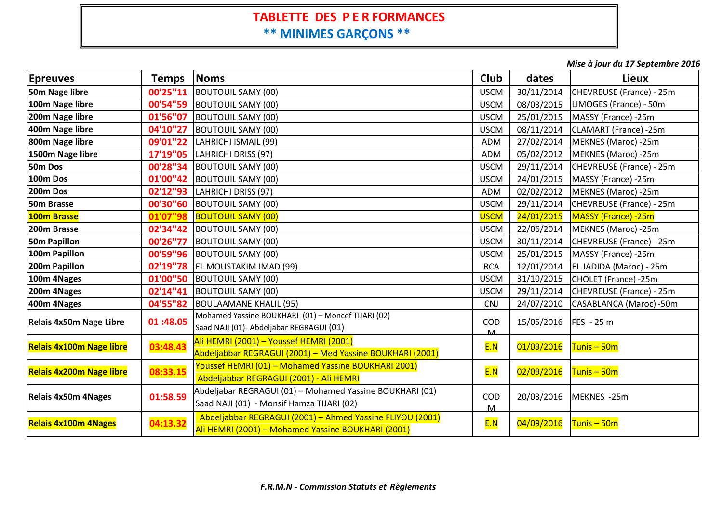#### **TABLETTE DES P <sup>E</sup> <sup>R</sup> FORMANCES \*\* MINIMES GARÇONS \*\***

*Mise à jour du 17 Septembre 2016*

| <b>Epreuves</b>                 | <b>Temps</b> | <b>Noms</b>                                                                                                     | <b>Club</b>      | dates      | <b>Lieux</b>             |
|---------------------------------|--------------|-----------------------------------------------------------------------------------------------------------------|------------------|------------|--------------------------|
| 50m Nage libre                  | 00'25"11     | <b>BOUTOUIL SAMY (00)</b>                                                                                       | <b>USCM</b>      | 30/11/2014 | CHEVREUSE (France) - 25m |
| 100m Nage libre                 | 00'54"59     | <b>BOUTOUIL SAMY (00)</b>                                                                                       | <b>USCM</b>      | 08/03/2015 | LIMOGES (France) - 50m   |
| 200m Nage libre                 | 01'56"07     | <b>BOUTOUIL SAMY (00)</b>                                                                                       | <b>USCM</b>      | 25/01/2015 | MASSY (France) -25m      |
| 400m Nage libre                 | 04'10"27     | <b>BOUTOUIL SAMY (00)</b>                                                                                       | <b>USCM</b>      | 08/11/2014 | CLAMART (France) -25m    |
| 800m Nage libre                 | 09'01"22     | LAHRICHI ISMAIL (99)                                                                                            | ADM              | 27/02/2014 | MEKNES (Maroc) -25m      |
| 1500m Nage libre                | 17'19"05     | LAHRICHI DRISS (97)                                                                                             | ADM              | 05/02/2012 | MEKNES (Maroc) -25m      |
| 50m Dos                         | 00'28"34     | <b>BOUTOUIL SAMY (00)</b>                                                                                       | <b>USCM</b>      | 29/11/2014 | CHEVREUSE (France) - 25m |
| 100m Dos                        | 01'00"42     | <b>BOUTOUIL SAMY (00)</b>                                                                                       | <b>USCM</b>      | 24/01/2015 | MASSY (France) -25m      |
| 200m Dos                        | 02'12"93     | LAHRICHI DRISS (97)                                                                                             | ADM              | 02/02/2012 | MEKNES (Maroc) -25m      |
| 50m Brasse                      | 00'30"60     | <b>BOUTOUIL SAMY (00)</b>                                                                                       | <b>USCM</b>      | 29/11/2014 | CHEVREUSE (France) - 25m |
| 100m Brasse                     | 01'07"98     | <b>BOUTOUIL SAMY (00)</b>                                                                                       | <b>USCM</b>      | 24/01/2015 | MASSY (France) -25m      |
| 200m Brasse                     | 02'34"42     | <b>BOUTOUIL SAMY (00)</b>                                                                                       | <b>USCM</b>      | 22/06/2014 | MEKNES (Maroc) -25m      |
| 50m Papillon                    | 00'26"77     | <b>BOUTOUIL SAMY (00)</b>                                                                                       | <b>USCM</b>      | 30/11/2014 | CHEVREUSE (France) - 25m |
| 100m Papillon                   | 00'59"96     | <b>BOUTOUIL SAMY (00)</b>                                                                                       | <b>USCM</b>      | 25/01/2015 | MASSY (France) -25m      |
| 200m Papillon                   | 02'19"78     | EL MOUSTAKIM IMAD (99)                                                                                          | <b>RCA</b>       | 12/01/2014 | EL JADIDA (Maroc) - 25m  |
| 100m 4Nages                     | 01'00"50     | <b>BOUTOUIL SAMY (00)</b>                                                                                       | <b>USCM</b>      | 31/10/2015 | CHOLET (France) -25m     |
| 200m 4Nages                     | 02'14"41     | <b>BOUTOUIL SAMY (00)</b>                                                                                       | <b>USCM</b>      | 29/11/2014 | CHEVREUSE (France) - 25m |
| 400m 4Nages                     | 04'55"82     | <b>BOULAAMANE KHALIL (95)</b>                                                                                   | <b>CNJ</b>       | 24/07/2010 | CASABLANCA (Maroc) -50m  |
| Relais 4x50m Nage Libre         | 01:48.05     | Mohamed Yassine BOUKHARI (01) - Moncef TIJARI (02)<br>Saad NAJI (01)- Abdeljabar REGRAGUI (01)                  | COD<br>$\Lambda$ | 15/05/2016 | FES - 25 m               |
| <b>Relais 4x100m Nage libre</b> | 03:48.43     | Ali HEMRI (2001) - Youssef HEMRI (2001)<br>Abdeljabbar REGRAGUI (2001) - Med Yassine BOUKHARI (2001)            | E.N              | 01/09/2016 | $T$ unis – 50m           |
| <b>Relais 4x200m Nage libre</b> | 08:33.15     | Youssef HEMRI (01) - Mohamed Yassine BOUKHARI 2001)<br>Abdeljabbar REGRAGUI (2001) - Ali HEMRI                  | E.N              | 02/09/2016 | $T$ unis – 50m           |
| <b>Relais 4x50m 4Nages</b>      | 01:58.59     | Abdeljabar REGRAGUI (01) - Mohamed Yassine BOUKHARI (01)<br>Saad NAJI (01) - Monsif Hamza TIJARI (02)           | <b>COD</b><br>м  | 20/03/2016 | MEKNES -25m              |
| <b>Relais 4x100m 4Nages</b>     | 04:13.32     | Abdeljabbar REGRAGUI (2001) - Ahmed Yassine FLIYOU (2001)<br>Ali HEMRI (2001) - Mohamed Yassine BOUKHARI (2001) | E.N              | 04/09/2016 | $T$ unis – 50m           |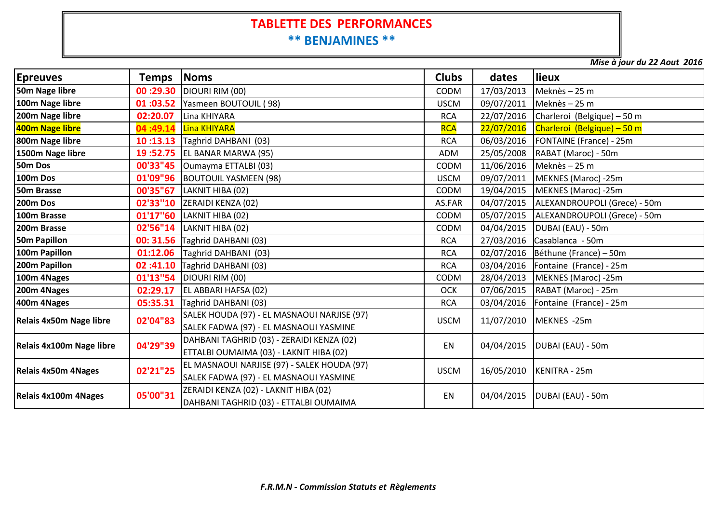#### **TABLETTE DES PERFORMANCES\*\* BENJAMINES \*\***

*Mise à jour du 22 Aout 2016*

| <b>Epreuves</b>            | Temps Noms |                                                                                       | <b>Clubs</b> | dates      | lieux                        |  |
|----------------------------|------------|---------------------------------------------------------------------------------------|--------------|------------|------------------------------|--|
| 50m Nage libre             |            | 00 :29.30 DIOURI RIM (00)                                                             | CODM         | 17/03/2013 | Meknès - 25 m                |  |
| 100m Nage libre            |            | 01 :03.52 Yasmeen BOUTOUIL (98)                                                       | <b>USCM</b>  | 09/07/2011 | Meknès - 25 m                |  |
| 200m Nage libre            |            | 02:20.07 Lina KHIYARA                                                                 | <b>RCA</b>   | 22/07/2016 | Charleroi (Belgique) - 50 m  |  |
| 400m Nage libre            |            | 04:49.14   Lina KHIYARA                                                               | <b>RCA</b>   | 22/07/2016 | Charleroi (Belgique) - 50 m  |  |
| 800m Nage libre            |            | 10:13.13   Taghrid DAHBANI (03)                                                       | <b>RCA</b>   | 06/03/2016 | FONTAINE (France) - 25m      |  |
| 1500m Nage libre           |            | <b>19:52.75 EL BANAR MARWA (95)</b>                                                   | ADM          | 25/05/2008 | RABAT (Maroc) - 50m          |  |
| 50m Dos                    |            | 00'33"45   Oumayma ETTALBI (03)                                                       | CODM         | 11/06/2016 | Meknès - 25 m                |  |
| <b>100m Dos</b>            |            | 01'09"96 BOUTOUIL YASMEEN (98)                                                        | <b>USCM</b>  | 09/07/2011 | MEKNES (Maroc) -25m          |  |
| 50m Brasse                 |            | 00'35"67   LAKNIT HIBA (02)                                                           | <b>CODM</b>  | 19/04/2015 | MEKNES (Maroc) -25m          |  |
| 200m Dos                   |            | 02'33"10   ZERAIDI KENZA (02)                                                         | AS.FAR       | 04/07/2015 | ALEXANDROUPOLI (Grece) - 50m |  |
| 100m Brasse                |            | 01'17"60   LAKNIT HIBA (02)                                                           | CODM         | 05/07/2015 | ALEXANDROUPOLI (Grece) - 50m |  |
| 200m Brasse                |            | 02'56"14   LAKNIT HIBA (02)                                                           | CODM         | 04/04/2015 | DUBAI (EAU) - 50m            |  |
| <b>50m Papillon</b>        |            | 00: 31.56 Taghrid DAHBANI (03)                                                        | <b>RCA</b>   | 27/03/2016 | Casablanca - 50m             |  |
| 100m Papillon              |            | 01:12.06   Taghrid DAHBANI (03)                                                       | <b>RCA</b>   | 02/07/2016 | Béthune (France) – 50m       |  |
| 200m Papillon              |            | 02:41.10 Taghrid DAHBANI (03)                                                         | <b>RCA</b>   | 03/04/2016 | Fontaine (France) - 25m      |  |
| 100m 4Nages                |            | 01'13"54   DIOURI RIM (00)                                                            | <b>CODM</b>  | 28/04/2013 | MEKNES (Maroc) -25m          |  |
| 200m 4Nages                |            | <b>02:29.17</b> EL ABBARI HAFSA (02)                                                  | OCK          | 07/06/2015 | RABAT (Maroc) - 25m          |  |
| 400m 4Nages                |            | 05:35.31 Taghrid DAHBANI (03)                                                         | <b>RCA</b>   | 03/04/2016 | Fontaine (France) - 25m      |  |
| Relais 4x50m Nage libre    | 02'04"83   | SALEK HOUDA (97) - EL MASNAOUI NARJISE (97)<br>SALEK FADWA (97) - EL MASNAOUI YASMINE | <b>USCM</b>  | 11/07/2010 | MEKNES -25m                  |  |
| Relais 4x100m Nage libre   | 04'29"39   | DAHBANI TAGHRID (03) - ZERAIDI KENZA (02)<br>ETTALBI OUMAIMA (03) - LAKNIT HIBA (02)  | EN           | 04/04/2015 | DUBAI (EAU) - 50m            |  |
| <b>Relais 4x50m 4Nages</b> | 02'21"25   | EL MASNAOUI NARJISE (97) - SALEK HOUDA (97)<br>SALEK FADWA (97) - EL MASNAOUI YASMINE | <b>USCM</b>  | 16/05/2010 | KENITRA - 25m                |  |
| Relais 4x100m 4Nages       | 05'00"31   | ZERAIDI KENZA (02) - LAKNIT HIBA (02)<br>DAHBANI TAGHRID (03) - ETTALBI OUMAIMA       | <b>EN</b>    | 04/04/2015 | DUBAI (EAU) - 50m            |  |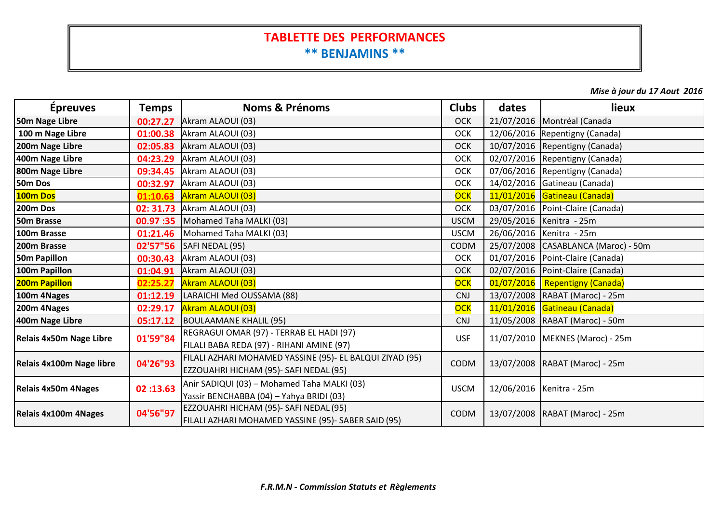#### **TABLETTE DES PERFORMANCES\*\* BENJAMINS \*\***

*Mise à jour du 17 Aout 2016*

| <b>Épreuves</b>            | <b>Temps</b> | <b>Noms &amp; Prénoms</b>                                | <b>Clubs</b> | dates      | lieux                               |  |  |
|----------------------------|--------------|----------------------------------------------------------|--------------|------------|-------------------------------------|--|--|
| 50m Nage Libre             | 00:27.27     | Akram ALAOUI (03)                                        | <b>OCK</b>   |            | 21/07/2016   Montréal (Canada       |  |  |
| 100 m Nage Libre           | 01:00.38     | Akram ALAOUI (03)                                        | OCK          |            | 12/06/2016 Repentigny (Canada)      |  |  |
| 200m Nage Libre            | 02:05.83     | Akram ALAOUI (03)                                        | <b>OCK</b>   |            | 10/07/2016 Repentigny (Canada)      |  |  |
| 400m Nage Libre            | 04:23.29     | Akram ALAOUI (03)                                        | <b>OCK</b>   |            | 02/07/2016 Repentigny (Canada)      |  |  |
| 800m Nage Libre            |              | 09:34.45 Akram ALAOUI (03)                               | <b>OCK</b>   |            | 07/06/2016 Repentigny (Canada)      |  |  |
| 50m Dos                    | 00:32.97     | Akram ALAOUI (03)                                        | <b>OCK</b>   |            | 14/02/2016 Gatineau (Canada)        |  |  |
| 100m Dos                   | 01:10.63     | <b>Akram ALAOUI (03)</b>                                 | <b>OCK</b>   |            | 11/01/2016 Gatineau (Canada)        |  |  |
| 200m Dos                   |              | 02: 31.73 Akram ALAOUI (03)                              | <b>OCK</b>   |            | 03/07/2016   Point-Claire (Canada)  |  |  |
| 50m Brasse                 |              | <b>00.97 :35</b> Mohamed Taha MALKI (03)                 | <b>USCM</b>  |            | 29/05/2016 Kenitra - 25m            |  |  |
| 100m Brasse                | 01:21.46     | Mohamed Taha MALKI (03)                                  | <b>USCM</b>  |            | 26/06/2016   Kenitra - 25m          |  |  |
| 200m Brasse                |              | 02'57"56   SAFI NEDAL (95)                               | <b>CODM</b>  |            | 25/07/2008 CASABLANCA (Maroc) - 50m |  |  |
| 50m Papillon               | 00:30.43     | Akram ALAOUI (03)                                        | <b>OCK</b>   |            | 01/07/2016 Point-Claire (Canada)    |  |  |
| 100m Papillon              |              | 01:04.91 Akram ALAOUI (03)                               | <b>OCK</b>   |            | 02/07/2016 Point-Claire (Canada)    |  |  |
| 200m Papillon              | 02:25.27     | <b>Akram ALAOUI (03)</b>                                 | OCK          | 01/07/2016 | <b>Repentigny (Canada)</b>          |  |  |
| 100m 4Nages                | 01:12.19     | LARAICHI Med OUSSAMA (88)                                | <b>CNJ</b>   |            | 13/07/2008 RABAT (Maroc) - 25m      |  |  |
| 200m 4Nages                | 02:29.17     | <b>Akram ALAOUI (03)</b>                                 | <b>OCK</b>   |            | 11/01/2016 Gatineau (Canada)        |  |  |
| 400m Nage Libre            | 05:17.12     | BOULAAMANE KHALIL (95)                                   | <b>CNJ</b>   |            | 11/05/2008 RABAT (Maroc) - 50m      |  |  |
| Relais 4x50m Nage Libre    | 01'59"84     | REGRAGUI OMAR (97) - TERRAB EL HADI (97)                 | <b>USF</b>   |            | 11/07/2010   MEKNES (Maroc) - 25m   |  |  |
|                            |              | FILALI BABA REDA (97) - RIHANI AMINE (97)                |              |            |                                     |  |  |
| Relais 4x100m Nage libre   | 04'26"93     | FILALI AZHARI MOHAMED YASSINE (95)- EL BALQUI ZIYAD (95) | CODM         |            | 13/07/2008 RABAT (Maroc) - 25m      |  |  |
|                            |              | EZZOUAHRI HICHAM (95)- SAFI NEDAL (95)                   |              |            |                                     |  |  |
| <b>Relais 4x50m 4Nages</b> | 02:13.63     | Anir SADIQUI (03) - Mohamed Taha MALKI (03)              | <b>USCM</b>  |            | 12/06/2016   Kenitra - 25m          |  |  |
|                            |              | Yassir BENCHABBA (04) - Yahya BRIDI (03)                 |              |            |                                     |  |  |
| Relais 4x100m 4Nages       | 04'56"97     | EZZOUAHRI HICHAM (95)- SAFI NEDAL (95)                   | CODM         |            | 13/07/2008   RABAT (Maroc) - 25m    |  |  |
|                            |              | FILALI AZHARI MOHAMED YASSINE (95)- SABER SAID (95)      |              |            |                                     |  |  |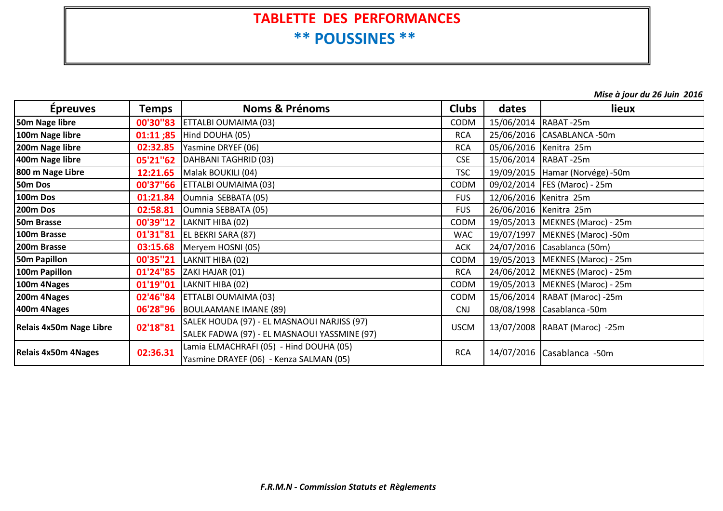### **TABLETTE DES PERFORMANCES \*\* POUSSINES \*\***

*Mise à jour du 26 Juin 2016*

| <b>Epreuves</b>            | Temps    | <b>Noms &amp; Prénoms</b><br><b>Clubs</b><br>dates                                          |             | lieux |                                   |
|----------------------------|----------|---------------------------------------------------------------------------------------------|-------------|-------|-----------------------------------|
| 50m Nage libre             |          | <b>00'30"83</b> ETTALBI OUMAIMA (03)                                                        | <b>CODM</b> |       | 15/06/2014 RABAT-25m              |
| 100m Nage libre            |          | 01:11 ;85   Hind DOUHA (05)                                                                 | <b>RCA</b>  |       | 25/06/2016 CASABLANCA-50m         |
| 200m Nage libre            |          | <b>02:32.85</b> Yasmine DRYEF (06)                                                          | <b>RCA</b>  |       | 05/06/2016 Kenitra 25m            |
| 400m Nage libre            |          | 05'21"62   DAHBANI TAGHRID (03)                                                             | <b>CSE</b>  |       | 15/06/2014 RABAT-25m              |
| 800 m Nage Libre           | 12:21.65 | Malak BOUKILI (04)                                                                          | <b>TSC</b>  |       | 19/09/2015   Hamar (Norvége) -50m |
| 50m Dos                    |          | 00'37"66 ETTALBI OUMAIMA (03)                                                               | CODM        |       | 09/02/2014   FES (Maroc) - 25m    |
| 100m Dos                   | 01:21.84 | Oumnia SEBBATA (05)                                                                         | <b>FUS</b>  |       | 12/06/2016 Kenitra 25m            |
| 200m Dos                   | 02:58.81 | Oumnia SEBBATA (05)                                                                         | <b>FUS</b>  |       | 26/06/2016 Kenitra 25m            |
| 50m Brasse                 |          | 00'39"12   LAKNIT HIBA (02)                                                                 | CODM        |       | 19/05/2013   MEKNES (Maroc) - 25m |
| 100m Brasse                |          | 01'31"81 EL BEKRI SARA (87)                                                                 | <b>WAC</b>  |       | 19/07/1997   MEKNES (Maroc) -50m  |
| 200m Brasse                | 03:15.68 | Meryem HOSNI (05)                                                                           | <b>ACK</b>  |       | 24/07/2016 Casablanca (50m)       |
| 50m Papillon               | 00'35"21 | LAKNIT HIBA (02)                                                                            | <b>CODM</b> |       | 19/05/2013   MEKNES (Maroc) - 25m |
| 100m Papillon              |          | 01'24"85   ZAKI HAJAR (01)                                                                  | <b>RCA</b>  |       | 24/06/2012   MEKNES (Maroc) - 25m |
| 100m 4Nages                | 01'19"01 | LAKNIT HIBA (02)                                                                            | CODM        |       | 19/05/2013   MEKNES (Maroc) - 25m |
| 200m 4Nages                |          | 02'46"84   ETTALBI OUMAIMA (03)                                                             | <b>CODM</b> |       | 15/06/2014  RABAT (Maroc) -25m    |
| 400m 4Nages                | 06'28"96 | BOULAAMANE IMANE (89)                                                                       | <b>CNJ</b>  |       | 08/08/1998 Casablanca - 50m       |
| Relais 4x50m Nage Libre    | 02'18"81 | SALEK HOUDA (97) - EL MASNAOUI NARJISS (97)<br>SALEK FADWA (97) - EL MASNAOUI YASSMINE (97) | <b>USCM</b> |       | 13/07/2008   RABAT (Maroc) -25m   |
| <b>Relais 4x50m 4Nages</b> | 02:36.31 | Lamia ELMACHRAFI (05) - Hind DOUHA (05)<br>Yasmine DRAYEF (06) - Kenza SALMAN (05)          | <b>RCA</b>  |       | 14/07/2016 Casablanca -50m        |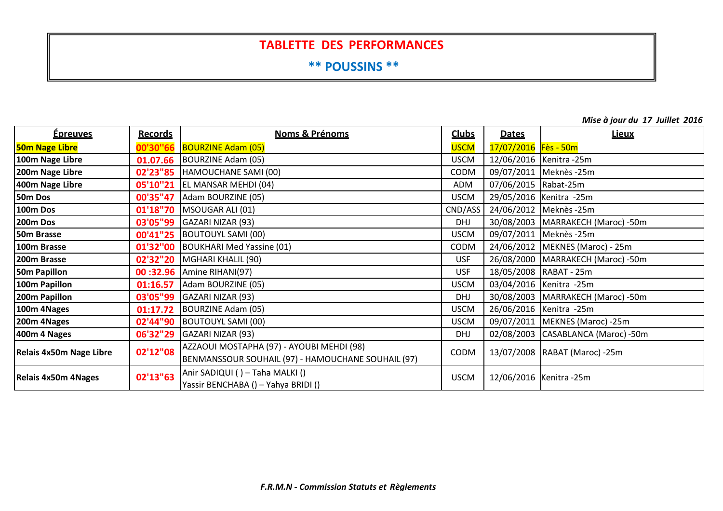#### **TABLETTE DES PERFORMANCES**

**\*\* POUSSINS \*\***

**Épreuves Records Noms & Prénoms Clubs Dates Lieux50m Nage Libre 00'30''66**BOURZINE Adam (05)<br>BOURZINE Adam (05) USCM USCM USCM 17/07/2016 Fès - 50m **100m Nage Libre 01.07.66**BOURZINE Adam (05) USCM USCM 12/06/2016 Kenitra -25m **200m Nage Libre 02'23"85** HAMOUCHANE SAMI (00) CODMCODM 09/07/2011 Meknès -25m<br>ADM 07/06/2015 Rabat-25m **400m Nage Libre 05'10''21** EL MANSAR MEHDI (04) ADMADM 07/06/2015 Rabat-25m<br>USCM 29/05/2016 Kenitra -25 **50m Dos 00'35"47** Adam BOURZINE (05) USCMUSCM 29/05/2016 Kenitra -25m<br>CND/ASS 24/06/2012 Meknès -25m **100m Dos 01'18"70** MSOUGAR ALI (01) CND/ASS 24/06/2012 Meknès -25m **200m03'05"99** GAZARI NIZAR (93)<br> **00'41"25** BOUTOUYL SAMI (00) **DHJ 30/08/2003 MARRAKECH (Maroc) -50m 50mm Brasse <mark>00'41"25</mark> BOUTOUYL SAMI (00)** USCM<br>Cure present to the product of the product of the USC of the USC of the USC of the Present of the product of th 09/07/2011 Meknès -25m **100m Brasse 01'32''00** BOUKHARI Med Yassine (01) CODM 24/06/2012 MEKNES (Maroc) - 25m **200mUSF 26/08/2000 MARRAKECH (Maroc) -50m<br>USF 18/05/2008 RABAT - 25m 50mPapillon 100 132.96** Amine RIHANI(97) USF 18/01:16.57 Adam BOURZINE (05) **100m Papillon 01:16.57** Adam BOURZINE (05) USCM 03/04/2016 Kenitra -25m **200mPa'05"99** GAZARI NIZAR (93)<br> **Papillon Papillon** DHJ 30/08/2003 MARRAKECH (Maroc) -50m<br> **Papillon** USCM 26/06/2016 Kenitra -25m **100m 4Nages 01:17.72** BOURZINE Adam (05) USCMUSCM 26/06/2016 Kenitra -25m<br>USCM 09/07/2011 MEKNES (Mai **200m 4Nages 02'44"90** BOUTOUYL SAMI (00) USCM 09/07/2011 MEKNES (Maroc) -25m **400m 4 Nages 06'32"29**GAZARI NIZAR (93)<br>| DHJ 02/08/2003 CASABLANCA (Maroc) -50m<br>| AZZAOUI MOSTAPHA (97) - AYOUBI MEHDI (98) **Relais 4x50m Nage Libre 02'12"08**AZZAOUI MOSTAPHA (97) - ATOUBI MEHDI (98)<br>BENMANSSOUR SOUHAIL (97) - HAMOUCHANE SOUHAIL (97) CODM | 13/07/2008 RABAT (Maroc) -25m **Relais 4x50m 4Nages 02'13"63**Anir SADIQUI ( ) – Taha MALKI ()<br>Yassir BENCHABA () – Yahya BRIDI () USCM | 12/06/2016 Kenitra -25m

*Mise à jour du 17 Juillet 2016*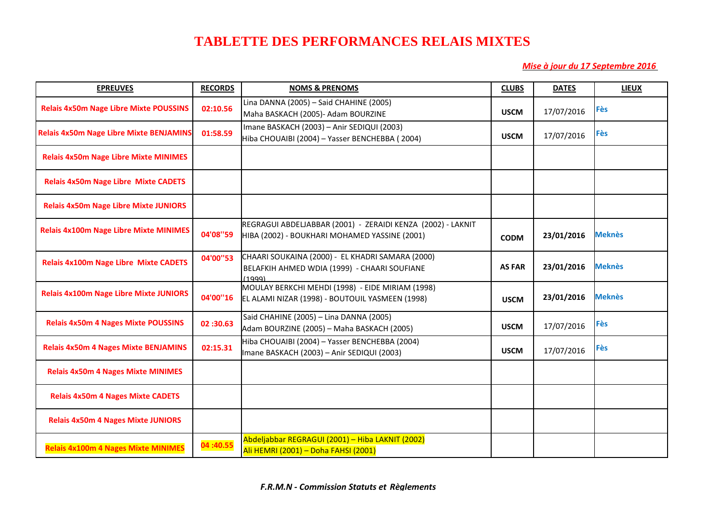#### **TABLETTE DES PERFORMANCES RELAIS MIXTES**

 *Mise à jour du 17 Septembre 2016* 

| <b>EPREUVES</b>                                | <b>RECORDS</b> | <b>NOMS &amp; PRENOMS</b>                                                                                    | <b>CLUBS</b>  | <b>DATES</b> | <b>LIEUX</b>  |
|------------------------------------------------|----------------|--------------------------------------------------------------------------------------------------------------|---------------|--------------|---------------|
| <b>Relais 4x50m Nage Libre Mixte POUSSINS</b>  | 02:10.56       | Lina DANNA (2005) - Said CHAHINE (2005)<br>Maha BASKACH (2005)- Adam BOURZINE                                | <b>USCM</b>   | 17/07/2016   | <b>Fès</b>    |
| <b>Relais 4x50m Nage Libre Mixte BENJAMINS</b> | 01:58.59       | Imane BASKACH (2003) - Anir SEDIQUI (2003)<br>Hiba CHOUAIBI (2004) - Yasser BENCHEBBA (2004)                 | <b>USCM</b>   | 17/07/2016   | <b>Fès</b>    |
| <b>Relais 4x50m Nage Libre Mixte MINIMES</b>   |                |                                                                                                              |               |              |               |
| <b>Relais 4x50m Nage Libre Mixte CADETS</b>    |                |                                                                                                              |               |              |               |
| <b>Relais 4x50m Nage Libre Mixte JUNIORS</b>   |                |                                                                                                              |               |              |               |
| <b>Relais 4x100m Nage Libre Mixte MINIMES</b>  | 04'08"59       | REGRAGUI ABDELJABBAR (2001) - ZERAIDI KENZA (2002) - LAKNIT<br>HIBA (2002) - BOUKHARI MOHAMED YASSINE (2001) | <b>CODM</b>   | 23/01/2016   | <b>Meknès</b> |
| <b>Relais 4x100m Nage Libre Mixte CADETS</b>   | 04'00"53       | CHAARI SOUKAINA (2000) - EL KHADRI SAMARA (2000)<br>BELAFKIH AHMED WDIA (1999) - CHAARI SOUFIANE<br>(1999)   | <b>AS FAR</b> | 23/01/2016   | <b>Meknès</b> |
| <b>Relais 4x100m Nage Libre Mixte JUNIORS</b>  | 04'00"16       | MOULAY BERKCHI MEHDI (1998) - EIDE MIRIAM (1998)<br>EL ALAMI NIZAR (1998) - BOUTOUIL YASMEEN (1998)          | <b>USCM</b>   | 23/01/2016   | <b>Meknès</b> |
| <b>Relais 4x50m 4 Nages Mixte POUSSINS</b>     | 02:30.63       | Said CHAHINE (2005) - Lina DANNA (2005)<br>Adam BOURZINE (2005) - Maha BASKACH (2005)                        | <b>USCM</b>   | 17/07/2016   | <b>Fès</b>    |
| <b>Relais 4x50m 4 Nages Mixte BENJAMINS</b>    | 02:15.31       | Hiba CHOUAIBI (2004) - Yasser BENCHEBBA (2004)<br>Imane BASKACH (2003) - Anir SEDIQUI (2003)                 | <b>USCM</b>   | 17/07/2016   | <b>Fès</b>    |
| <b>Relais 4x50m 4 Nages Mixte MINIMES</b>      |                |                                                                                                              |               |              |               |
| <b>Relais 4x50m 4 Nages Mixte CADETS</b>       |                |                                                                                                              |               |              |               |
| <b>Relais 4x50m 4 Nages Mixte JUNIORS</b>      |                |                                                                                                              |               |              |               |
| <b>Relais 4x100m 4 Nages Mixte MINIMES</b>     | 04:40.55       | Abdeljabbar REGRAGUI (2001) - Hiba LAKNIT (2002)<br>Ali HEMRI (2001) - Doha FAHSI (2001)                     |               |              |               |